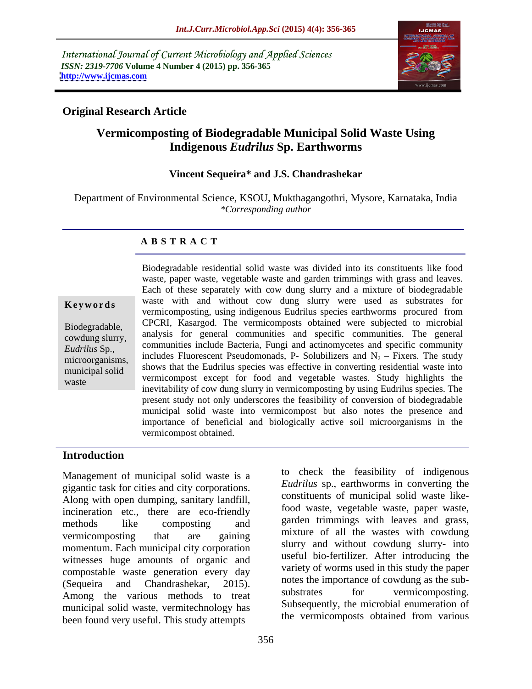International Journal of Current Microbiology and Applied Sciences *ISSN: 2319-7706* **Volume 4 Number 4 (2015) pp. 356-365 <http://www.ijcmas.com>**



## **Original Research Article**

# **Vermicomposting of Biodegradable Municipal Solid Waste Using Indigenous** *Eudrilus* **Sp. Earthworms**

### **Vincent Sequeira\* and J.S. Chandrashekar**

Department of Environmental Science, KSOU, Mukthagangothri, Mysore, Karnataka, India *\*Corresponding author*

#### **A B S T R A C T**

waste

Biodegradable residential solid waste was divided into its constituents like food waste, paper waste, vegetable waste and garden trimmings with grass and leaves. Each of these separately with cow dung slurry and a mixture of biodegradable **Keywords** waste with and without cow dung slurry were used as substrates for vermicomposting, using indigenous Eudrilus species earthworms procured from CPCRI, Kasargod. The vermicomposts obtained were subjected to microbial Biodegradable, analysis for general communities and specific communities. The general cowdung slurry, communities include Bacteria, Fungi and actinomycetes and specific community *Eudrilus* Sp.,  $\frac{1}{2}$  includes Fluorescent Pseudomonads, P- Solubilizers and N<sub>2</sub> – Fixers. The study municipal solid shows that the Eudrilus species was effective in converting residential waste into vermicompost except for food and vegetable wastes. Study highlights the inevitability of cow dung slurry in vermicomposting by using Eudrilus species. The present study not only underscores the feasibility of conversion of biodegradable municipal solid waste into vermicompost but also notes the presence and importance of beneficial and biologically active soil microorganisms in the vermicompost obtained.

### **Introduction**

Management of municipal solid waste is a gigantic task for cities and city corporations. Along with open dumping, sanitary landfill, incineration etc., there are eco-friendly methods like composting and garden trimmings with leaves and grass, vermicomposting that are gaining IIIIXure of all the wastes with cowdung momentum. Each municipal city corporation witnesses huge amounts of organic and compostable waste generation every day (Sequeira and Chandrashekar, 2015). Those the importance of cowdung as the sub-Among the various methods to treat substrates for vermicomposting. municipal solid waste, vermitechnology has been found very useful. This study attempts

to check the feasibility of indigenous *Eudrilus* sp., earthworms in converting the constituents of municipal solid waste likefood waste, vegetable waste, paper waste, garden trimmings with leaves and grass, mixture of all the wastes with cowdung slurry and without cowdung slurry- into useful bio-fertilizer. After introducing the variety of worms used in this study the paper notes the importance of cowdung as the sub substrates for vermicomposting. Subsequently, the microbial enumeration of the vermicomposts obtained from various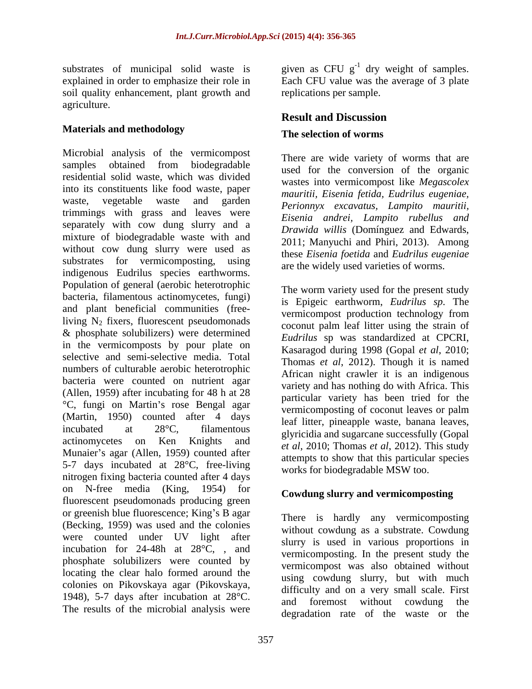explained in order to emphasize their role in Each CFU value was the average of 3 plate soil quality enhancement, plant growth and agriculture.

### **Materials and methodology**

Microbial analysis of the vermicompost samples obtained from biodegradable used for the conversion of the organic residential solid waste, which was divided into its constituents like food waste, paper waste, vegetable waste and garden trimmings with grass and leaves were separately with cow dung slurry and a mixture of biodegradable waste with and without cow dung slurry were used as substrates for vermicomposting, using indigenous Eudrilus species earthworms. Population of general (aerobic heterotrophic bacteria, filamentous actinomycetes, fungi) and plant beneficial communities (freeliving  $N_2$  fixers, fluorescent pseudomonads & phosphate solubilizers) were determined in the vermicomposts by pour plate on selective and semi-selective media. Total numbers of culturable aerobic heterotrophic bacteria were counted on nutrient agar (Allen, 1959) after incubating for 48 h at 28 °C, fungi on Martin's rose Bengal agar (Martin, 1950) counted after 4 days incubated at 28°C, filamentous glyricidia and sugarcane successfully (Gopal actinomycetes on Ken Knights and *et al*, 2010; Thomas *et al*, 2012). This study Munaier's agar (Allen, 1959) counted after 5-7 days incubated at 28°C, free-living nitrogen fixing bacteria counted after 4 days on N-free media (King, 1954) for fluorescent pseudomonads producing green or greenish blue fluorescence; King's B agar (Becking, 1959) was used and the colonies were counted under UV light after incubation for 24-48h at 28°C, , and phosphate solubilizers were counted by locating the clear halo formed around the colonies on Pikovskaya agar (Pikovskaya, 1948), 5-7 days after incubation at 28<sup>o</sup>C. and foremost without cowdung the The results of the microbial analysis were

substrates of municipal solid waste is given as CFU  $g^{-1}$  dry weight of samples. replications per sample.

# **Result and Discussion**

# **The selection of worms**

There are wide variety of worms that are used for the conversion of the organic wastes into vermicompost like *Megascolex mauritii, Eisenia fetida, Eudrilus eugeniae, Perionnyx excavatus, Lampito mauritii, Eisenia andrei, Lampito rubellus and Drawida willis* (Domínguez and Edwards, 2011; Manyuchi and Phiri, 2013). Among these *Eisenia foetida* and *Eudrilus eugeniae* are the widely used varieties of worms.

The worm variety used for the present study is Epigeic earthworm, *Eudrilus sp*. The vermicompost production technology from coconut palm leaf litter using the strain of *Eudrilus* sp was standardized at CPCRI, Kasaragod during 1998 (Gopal *et al*, 2010; Thomas *et al*, 2012). Though it is named African night crawler it is an indigenous variety and has nothing do with Africa. This particular variety has been tried for the vermicomposting of coconut leaves or palm leaf litter, pineapple waste, banana leaves, attempts to show that this particular species works for biodegradable MSW too.

### **Cowdung slurry and vermicomposting**

There is hardly any vermicomposting without cowdung as a substrate. Cowdung slurry is used in various proportions in vermicomposting. In the present study the vermicompost was also obtained without using cowdung slurry, but with much difficulty and on a very small scale. First and foremost without cowdung degradation rate of the waste or the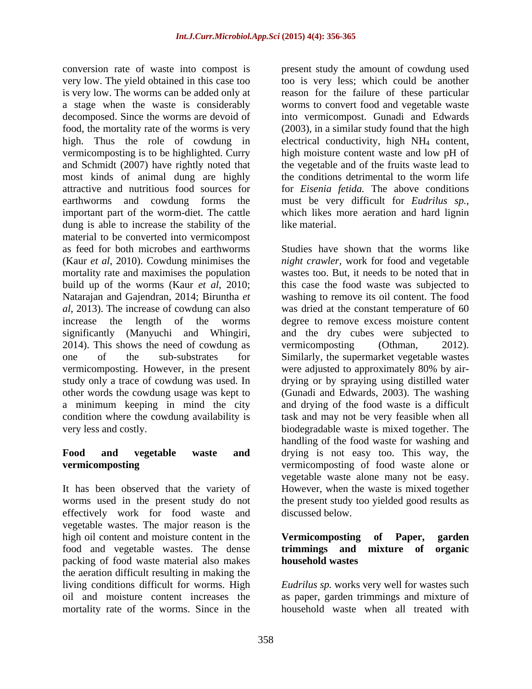conversion rate of waste into compost is present study the amount of cowdung used very low. The yield obtained in this case too too is very less; which could be another is very low. The worms can be added only at reason for the failure of these particular a stage when the waste is considerably worms to convert food and vegetable waste decomposed. Since the worms are devoid of into vermicompost. Gunadi and Edwards food, the mortality rate of the worms is very (2003), in a similar study found that the high high. Thus the role of cowdung in electrical conductivity, high NH4 content, vermicomposting is to be highlighted. Curry high moisture content waste and low pH of and Schmidt (2007) have rightly noted that the vegetable and of the fruits waste lead to most kinds of animal dung are highly the conditions detrimental to the worm life attractive and nutritious food sources for for *Eisenia fetida.* The above conditions earthworms and cowdung forms the must be very difficult for *Eudrilus sp.*, important part of the worm-diet. The cattle which likes more aeration and hard lignin dung is able to increase the stability of the like material. material to be converted into vermicompost as feed for both microbes and earthworms (Kaur *et al*, 2010). Cowdung minimises the *night crawler,* work for food and vegetable mortality rate and maximises the population build up of the worms (Kaur *et al*, 2010; Natarajan and Gajendran, 2014; Biruntha *et*  washing to remove its oil content. The food *al,* 2013). The increase of cowdung can also was dried at the constant temperature of 60 increase the length of the worms degree to remove excess moisture content significantly (Manyuchi and Whingiri, 2014). This shows the need of cowdung as vermicomposting (Othman, 2012). one of the sub-substrates for Similarly, the supermarket vegetable wastes vermicomposting. However, in the present were adjusted to approximately 80% by air study only a trace of cowdung was used. In drying or by spraying using distilled water other words the cowdung usage was kept to (Gunadi and Edwards, 2003). The washing a minimum keeping in mind the city and drying of the food waste is a difficult condition where the cowdung availability is task and may not be very feasible when all

It has been observed that the variety of effectively work for food waste and vegetable wastes. The major reason is the high oil content and moisture content in the **Vermicomposting of Paper**, garden food and vegetable wastes. The dense **trimmings and mixture of organic** packing of food waste material also makes the aeration difficult resulting in making the living conditions difficult for worms. High *Eudrilus sp.* works very well for wastes such oil and moisture content increases the as paper, garden trimmings and mixture of mortality rate of the worms. Since in the

must be very difficult for *Eudrilus sp.*, which likes more aeration and hard lignin like material.

very less and costly. biodegradable waste is mixed together. The **Food and vegetable waste and** drying is not easy too.This way, the **vermicomposting** vermicomposting of food waste alone or worms used in the present study do not the present study too yielded good results as Studies have shown that the worms like wastes too. But, it needs to be noted that in this case the food waste was subjected to and the dry cubes were subjected to vermicomposting (Othman, 2012). handling of the food waste for washing and vegetable waste alone many not be easy. However, when the waste is mixed together discussed below.

### **Vermicomposting of Paper, garden trimmings and mixture of organic household wastes**

household waste when all treated with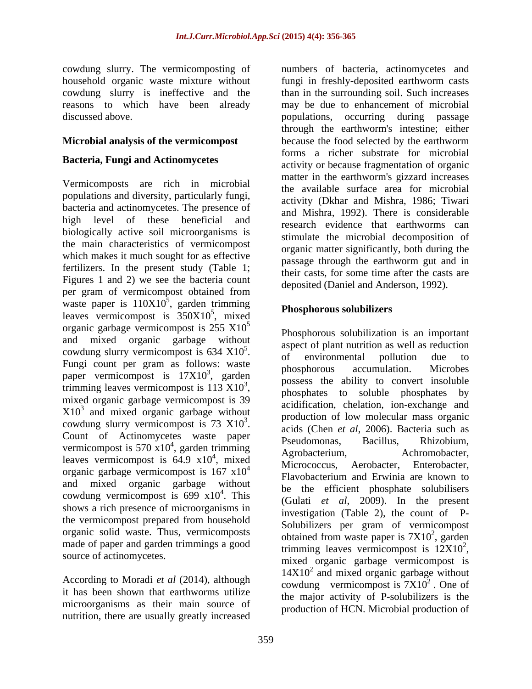cowdung slurry. The vermicomposting of numbers of bacteria, actinomycetes and

#### **Bacteria, Fungi and Actinomycetes**

Vermicomposts are rich in microbial populations and diversity, particularly fungi, bacteria and actinomycetes. The presence of high level of these beneficial and biologically active soil microorganisms is the main characteristics of vermicompost which makes it much sought for as effective fertilizers. In the present study (Table 1; Figures 1 and 2) we see the bacteria count per gram of vermicompost obtained from waste paper is  $110X10^5$ , garden trimming  $\frac{5}{2}$  cordon trimming , garden trimming<br> **Example 19 December on the Solubilizers** leaves vermicompost is  $350X10^5$ , mixed , mixed **complete** the solution of solution of  $\theta$ organic garbage vermicompost is  $255 \times 10^5$ and mixed organic garbage without cowdung slurry vermicompost is  $634 \text{ X}10^5$ .  $\qquad \qquad \text{of} \qquad \text{environmental} \qquad \text{polution} \qquad \text{due} \qquad \text{to} \qquad \text{to} \qquad \text{to} \qquad \text{to} \qquad \text{to} \qquad \text{to} \qquad \text{to} \qquad \text{to} \qquad \text{to} \qquad \text{to} \qquad \text{to} \qquad \text{to} \qquad \text{to} \qquad \text{to} \qquad \text{to} \qquad \text{to} \qquad \text{to}$ cowdung slurry vermicompost is  $634 \text{ X10}^3$ .<br>
Fungi count per gram as follows: waste being accumulation due to Fungi count per grain as follows: waste  $\mu$  phosphorous accumulation. Microbes paper vermicompost is  $17X10^3$ , garden trimming leaves vermicompost is  $113 \text{ X}10^3$ ,<br>mixed organic garbage vermicompost is 39 trimming leaves vermicompost is  $113 \times 10^3$ ,<br>mixed organic garbage vermicompost is  $39$ <br>acidification chelation ion-exchange and  $X10<sup>3</sup>$  and mixed organic garbage without  $X10<sup>3</sup>$  actually molecular mass organic cowdung slurry vermicompost is  $73 \text{ X}10^3$ . cowdung slurry vermicompost is  $73 \times 10^3$ .<br>Count of Actinomycetes waste paper<br> $\frac{\text{pseudomones}}{\text{Beaudomones}}$  Bacillus Bhizobium Count of Actinomyceus waste paper<br>
vermicompost is 570 x10<sup>4</sup>, garden trimming<br>
Agrobacterium. Achromobacter. leaves vermicompost is  $64.9 \times 10^4$ , mixed<br>Micrococcus, Aerobacter, Enterobacter, organic garbage vermicompost is  $167 \times 10^4$ and mixed organic garbage without cowdung vermicompost is 699  $x10<sup>4</sup>$ . This shows a rich presence of microorganisms in the vermicompost prepared from household organic solid waste. Thus, vermicomposts made of paper and garden trimmings a good

According to Moradi *et al* (2014), although it has been shown that earthworms utilize microorganisms as their main source of nutrition, there are usually greatly increased

household organic waste mixture without fungi in freshly-deposited earthworm casts cowdung slurry is ineffective and the than in thesurrounding soil. Such increases reasons to which have been already may be due to enhancement of microbial discussed above. populations, occurring during passage **Microbial analysis of the vermicompost** because the food selected by the earthworm through the earthworm's intestine; either because the food selected by the earthworm forms a richer substrate for microbial activity or because fragmentation of organic matter in the earthworm's gizzard increases the available surface area for microbial activity (Dkhar and Mishra, 1986; Tiwari and Mishra, 1992). There is considerable research evidence that earthworms can stimulate the microbial decomposition of organic matter significantly, both during the passage through the earthworm gut and in their casts, for some time after the casts are deposited (Daniel and Anderson, 1992).

### **Phosphorous solubilizers**

 $\frac{3}{3}$   $\frac{2}{3}$   $\frac{2}{3}$   $\frac{2}{3}$   $\frac{1}{3}$   $\frac{1}{3}$   $\frac{1}{3}$   $\frac{1}{3}$   $\frac{1}{3}$   $\frac{1}{3}$   $\frac{1}{3}$   $\frac{1}{3}$   $\frac{1}{3}$   $\frac{1}{3}$   $\frac{1}{3}$   $\frac{1}{3}$   $\frac{1}{3}$   $\frac{1}{3}$   $\frac{1}{3}$   $\frac{1}{3}$   $\frac{1}{3}$   $\frac{1}{3}$   $\frac{\text{garden}}{112 \times 10^3}$  possess the ability to convert insoluble <sup>11</sup> production of low molecular mass organic 4 gordon trimming reductionally, Bachius, Killzobium,  $\alpha$  reductionally, but the column  $\alpha$  contact  $\alpha$  contact  $\alpha$  contact  $\alpha$  contact  $\alpha$  contact  $\alpha$  contact  $\alpha$  contact  $\alpha$  contact  $\alpha$  contact  $\alpha$  contact  $\alpha$  contact  $\alpha$  contact  $\alpha$  contact  $\alpha$  contact  $\alpha$  $\frac{4}{4}$  mixed Agrobacterium,  $\frac{4}{4}$  Achromobacter, mixed Micrococcus Aerobacter Enterobacter 4 MICHOCOCCUS, ACHODACICI, EMENODACICI,  $^{4}$  This be the efficient phosphate solubilisers . This (Gulati *et al*, 2009). In the present source of actinomycetes.<br>mixed organic garbage vermicompost is Phosphorous solubilization is an important aspect of plant nutrition as well as reduction of environmental pollution due to phosphorous accumulation. Microbes phosphates to soluble phosphates by acidification, chelation, ion-exchange and acids (Chen *et al.* 2006). Bacteria such as Pseudomonas, Bacillus, Rhizobium, Agrobacterium, Achromobacter, Micrococcus, Aerobacter, Enterobacter, Flavobacterium and Erwinia are known to investigation (Table 2), the count of P- Solubilizers per gram of vermicompost obtained from waste paper is  $7X10^2$ , garden 2  $\alpha$  and  $\alpha$ , garden trimming leaves vermicompost is  $12X10^2$ , trimming leaves vermicompost is  $12X10^2$ ,<br>mixed organic garbage vermicompost is  $14X10<sup>2</sup>$  and mixed organic garbage without cowdung vermicompost is  $7X10<sup>2</sup>$ . One of . One of the major activity of P-solubilizers is the production of HCN. Microbial production of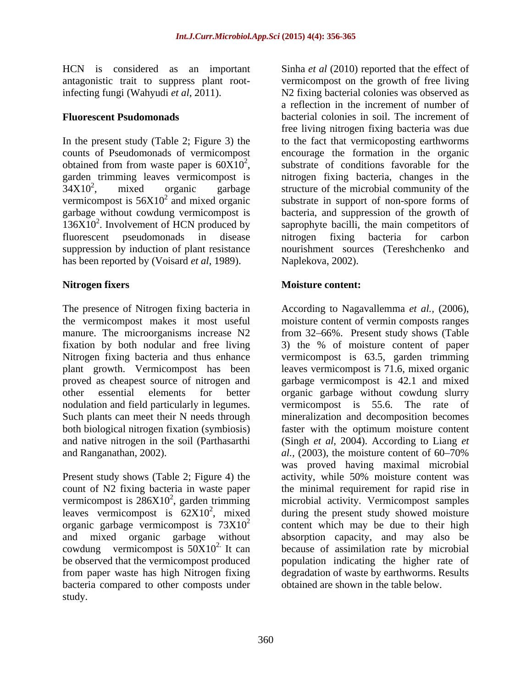In the present study (Table 2; Figure 3) the to the fact that vermicoposting earthworms counts of Pseudomonads of vermicompost encourage the formation in the organic obtained from from waste paper is  $60X10^2$ , obtained from from waste paper is  $60X10^2$ , substrate of conditions favorable for the garden trimming leaves vermicompost is introgen fixing bacteria, changes in the  $34X10<sup>2</sup>$ , mixed organic garbage structure of the microbial community of the vermicompost is  $56X10^2$  and mixed organic substrate in support of non-spore forms of garbage without cowdung vermicompost is bacteria, and suppression of the growth of  $136X10<sup>2</sup>$ . Involvement of HCN produced by fluorescent pseudomonads in disease nitrogen fixing bacteria for carbon suppression by induction of plant resistance nourishment sources (Tereshchenko and has been reported by (Voisard *et al*, 1989).

nodulation and field particularly in legumes. vermicompost is 55.6. The rate of

Present study shows (Table 2; Figure 4) the leaves vermicompost is  $62X10^2$ , mixed from paper waste has high Nitrogen fixing bacteria compared to other composts under study.

HCN is considered as an important Sinha *et al* (2010) reported that the effect of antagonistic trait to suppress plant root-vermicompost on the growth of free living infecting fungi (Wahyudi *et al*, 2011). N2 fixing bacterial colonies was observed as **Fluorescent Psudomonads** bacterial colonies in soil. The increment of <sup>2</sup>, substrate of conditions favorable for the . Involvement of HCN produced by saprophyte bacilli, the main competitors of a reflection in the increment of number of free living nitrogen fixing bacteria was due nitrogen fixing bacteria, changes in the nitrogen fixing bacteria for carbon Naplekova, 2002).

#### **Nitrogen fixers Moisture content:**

The presence of Nitrogen fixing bacteria in According to Nagavallemma *et al.,* (2006), the vermicompost makes it most useful moisture content of vermin composts ranges manure. The microorganisms increase N2 from 32–66%. Present study shows (Table fixation by both nodular and free living 3) the % of moisture content of paper Nitrogen fixing bacteria and thus enhance vermicompost is 63.5, garden trimming plant growth. Vermicompost has been leaves vermicompost is 71.6, mixed organic proved as cheapest source of nitrogen and garbage vermicompost is 42.1 and mixed other essential elements for better organic garbage without cowdung slurry Such plants can meet their N needs through mineralization and decomposition becomes both biological nitrogen fixation (symbiosis) faster with the optimum moisture content and native nitrogen in the soil (Parthasarthi (Singh *et al*, 2004). According to Liang *et*  and Ranganathan, 2002).  $al.$  (2003), the moisture content of 60–70% count of N2 fixing bacteria in waste paper the minimal requirement for rapid rise in vermicompost is 286X10<sup>2</sup>, garden trimming microbial activity. Vermicompost samples , mixed during the present study showed moisture organic garbage vermicompost is  $73X10^2$  content which may be due to their high and mixed organic garbage without absorption capacity, and may also be cowdung vermicompost is  $50X10^2$  It can because of assimilation rate by microbial be observed that the vermicompost produced population indicating the higher rate of vermicompost is  $55.6$ . was proved having maximal microbial activity, while 50% moisture content was degradation of waste by earthworms. Results obtained are shown in the table below.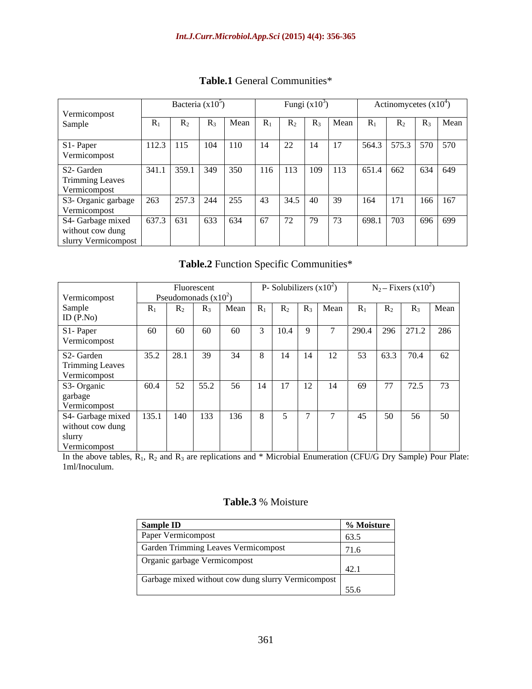|                                                              |               |             | Bacteria $(x10^5)$ |      |       | Fungi $(x10^3)$ |            |                         |                     | Actinomycetes $(x10^4)$                                                          |                       |
|--------------------------------------------------------------|---------------|-------------|--------------------|------|-------|-----------------|------------|-------------------------|---------------------|----------------------------------------------------------------------------------|-----------------------|
| Vermicompost<br>Sample                                       |               | $K_2$       | $R_3$              | Mean | $R_1$ |                 | $R_3$      | Mean                    |                     | $R_2$                                                                            | $R_3$ Mean            |
| S1-Paper<br>Vermicompost                                     |               | $112.3$ 115 | 104                | 110  | 14    | 22              | $\vert$ 14 | 17                      |                     |                                                                                  | $564.3$ 575.3 570 570 |
| S2- Garden<br>Trimming Leaves<br>Vermicompost                | 341.1         |             | 359.1 349          | 350  |       |                 |            | $116$   113   109   113 | $651.4$ 662 634 649 |                                                                                  |                       |
| S3- Organic garbage<br>Vermicompost                          | $\boxed{263}$ |             | $257.3$ 244 255    |      |       | 43 34.5 40      |            | 39                      | 164                 | 171                                                                              | 166 167               |
| S4- Garbage mixed<br>without cow dung<br>slurry Vermicompost |               | 637.3 631   | 633 634            |      | 67    | 72              | 79         | 73                      |                     | $\begin{array}{ c c c c c c } \hline 698.1 & 703 & 696 & 699 \hline \end{array}$ |                       |

#### **Table.1** General Communities\*

# **Table.2** Function Specific Communities\*

| Vermicompost                                                       |       |      | Fluorescent<br>Pseudomonads $(x10^2)$ |      |                                       |            |                | P- Solubilizers $(x10^2)$ |       |                | $N_2$ – Fixers (x10 <sup>2</sup> ) |      |
|--------------------------------------------------------------------|-------|------|---------------------------------------|------|---------------------------------------|------------|----------------|---------------------------|-------|----------------|------------------------------------|------|
| $\begin{array}{c}\n\text{Sample} \\ \text{ID (P.No)}\n\end{array}$ | $R_1$ |      | $R_2 \parallel R_3$                   | Mean | $R_1 \mid R_1 \mid R_2 \mid R_3 \mid$ |            |                | Mean                      | $R_1$ | $R_2$          | $R_3$                              | Mean |
| S1-Paper<br>Vermicompost                                           | 60    | 60   | 60                                    | 60   |                                       |            | $10.4$ 9       | $\overline{\phantom{0}}$  | 290.4 |                | 296 271.2 286                      |      |
| S2- Garden<br>Trimming Leaves<br>Vermicompost                      | 35.2  | 28.1 | 39                                    | 34   |                                       | 14         | 14             | 12                        | 53    | 63.3           | 70.4                               | 62   |
| S3- Organic<br>garbage<br>Vermicompost                             | 60.4  |      | $52 \mid 55.2 \mid$                   | 56   |                                       | $14$ 17 12 |                | 14                        | 69    | $\overline{a}$ | 72.5                               | 73   |
| S4- Garbage mixed<br>without cow dung<br>slurry<br>Vermicompost    | 135.1 |      | 140 133                               | 136  |                                       |            | $\overline{ }$ | $\overline{\phantom{0}}$  | 45    | 50             | 56                                 | 50   |

In the above tables,  $R_1$ ,  $R_2$  and  $R_3$  are replications and \* Microbial Enumeration (CFU/G Dry Sample) Pour Plate: 1ml/Inoculum.

#### **Table.3** % Moisture

| Sample ID                                          | $%$ Moisture |
|----------------------------------------------------|--------------|
| Paper Vermicompost                                 | 63.5         |
| Garden Trimming Leaves Vermicompost                | /1.0         |
| Organic garbage Vermicompost                       | 42.1         |
| Garbage mixed without cow dung slurry Vermicompost |              |
|                                                    | 55.6         |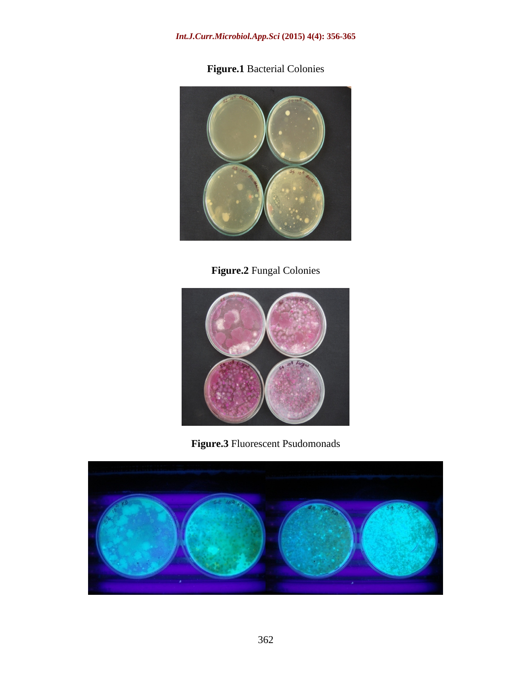### *Int.J.Curr.Microbiol.App.Sci* **(2015) 4(4): 356-365**

# **Figure.1** Bacterial Colonies



**Figure.2** Fungal Colonies



**Figure.3** Fluorescent Psudomonads

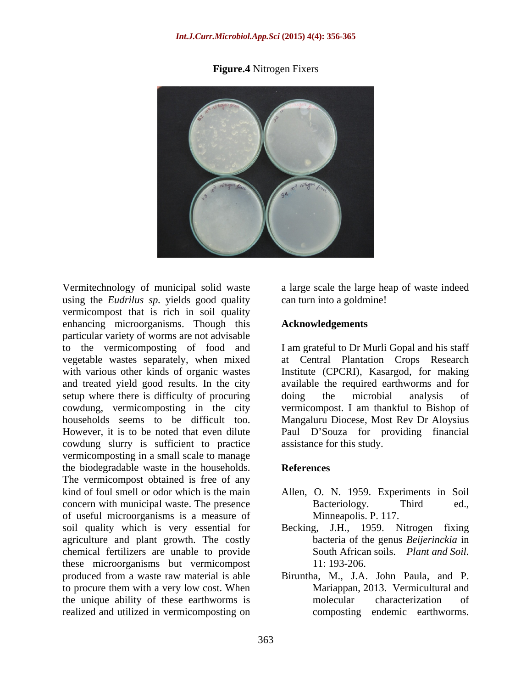### **Figure.4** Nitrogen Fixers



Vermitechnology of municipal solid waste a large scale the large heap of waste indeed using the *Eudrilus sp.* yields good quality vermicompost that is rich in soil quality enhancing microorganisms. Though this **Acknowledgements** particular variety of worms are not advisable to the vermicomposting of food and I am grateful to Dr Murli Gopal and his staff vegetable wastes separately, when mixed at Central Plantation Crops Research with various other kinds of organic wastes Institute (CPCRI), Kasargod, for making and treated yield good results. In the city available the required earthworms and for setup where there is difficulty of procuring doing the microbial analysis of cowdung, vermicomposting in the city vermicompost. I am thankful to Bishop of households seems to be difficult too. Mangaluru Diocese, Most Rev Dr Aloysius However, it is to be noted that even dilute Paul D'Souza for providing financial cowdung slurry is sufficient to practice vermicomposting in a small scale to manage the biodegradable waste in the households. The vermicompost obtained is free of any kind of foul smell or odor which is the main Allen, O. N. 1959. Experiments in Soil concern with municipal waste. The presence Bacteriology. Third ed., of useful microorganisms is a measure of soil quality which is very essential for Becking, agriculture and plant growth. The costly chemical fertilizers are unable to provide these microorganisms but vermicompost 11:193-206. produced from a waste raw material is able to procure them with a very low cost. When the unique ability of these earthworms is realized and utilized in vermicomposting on

can turn into a goldmine!

#### **Acknowledgements**

doing the microbial analysis of assistance for this study.

### **References**

- Bacteriology. Third ed., Minneapolis. P. 117.
- J.H., 1959. Nitrogen fixing bacteria of the genus *Beijerinckia* in South African soils. *Plant and Soil.* 11: 193-206.
- Biruntha, M., J.A. John Paula, and P. Mariappan, 2013. Vermicultural and molecular characterization of composting endemic earthworms.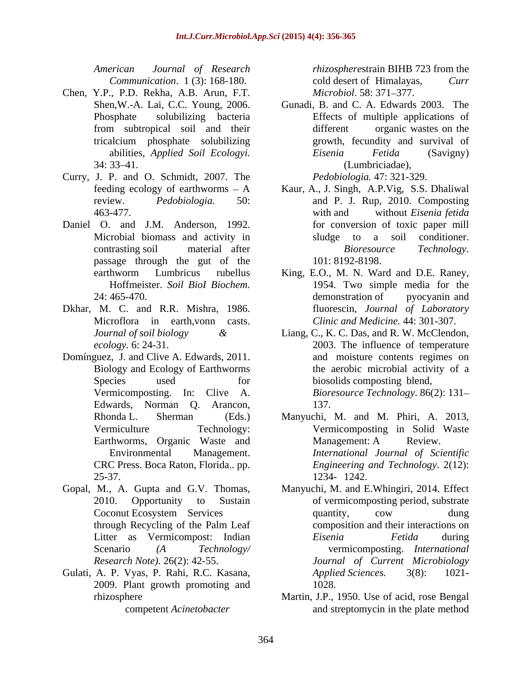- Chen, Y.P., P.D. Rekha, A.B. Arun, F.T.
- Curry, J. P. and O. Schmidt, 2007. The
- Daniel O. and J.M. Anderson, 1992. for conversion of toxic paper mill<br>Microbial biomass and activity in sludge to a soil conditioner. Microbial biomass and activity in sludge to a soil passage through the gut of the
- Dkhar, M. C. and R.R. Mishra, 1986. Microflora in earth,vonn casts.
- Domínguez, J. and Clive A. Edwards, 2011. Edwards, Norman Q. Arancon,
- Gopal, M., A. Gupta and G.V. Thomas, Manyuchi, M. and E.Whingiri, 2014. Effect
- Gulati, A. P. Vyas, P. Rahi, R.C. Kasana, *Applied Sciences*. 3(8): 1021-2009. Plant growth promoting and

*American Journal of Research rhizosphere*strain BIHB 723 from the *Communication.* 1 (3): 168-180. Cold desert of Himalayas, Curr cold desert of Himalayas, *Microbiol.* 58: 371–377.

- Shen, W.-A. Lai, C.C. Young, 2006. Gunadi, B. and C. A. Edwards 2003. The Phosphate solubilizing bacteria Effects of multiple applications of from subtropical soil and their tricalcium phosphate solubilizing abilities, *Applied Soil Ecologyi.* 34: 33–41. (Lumbriciadae), different organic wastes on the growth, fecundity and survival of *Eisenia Fetida* (Savigny) (Lumbriciadae), *Pedobiologia.* 47: 321-329.
- feeding ecology of earthworms A Kaur, A., J. Singh, A.P.Vig, S.S. Dhaliwal review. *Pedobiologia.* 50: and P. J. Rup, 2010. Composting 463-477. contrasting soil and material after the material set of the material set of the material set of the material  $B$ ioresource Technology. with and without *Eisenia fetida* for conversion of toxic paper mill sludge to a soil conditioner. *Bioresource Technology.* 101: 8192-8198.
- earthworm Lumbricus rubellus King, E.O., M. N. Ward and D.E. Raney, Hoffmeister. *Soil BioI Biochem.* 1954. Two simple media for the 24: 465-470. demonstration of pyocyanin and demonstration of pyocyanin and fluorescin, *Journal of Laboratory Clinic and Medicine.* 44: 301-307.
- *Journal of soil biology &*  Liang, C., K. C. Das, and R. W. McClendon, *ecology.* 6: 24-31. 2003. The influence of temperature Biology and Ecology of Earthworms the aerobic microbial activity of a Species used for biosolids composting blend, Vermicomposting. In: Clive A. *Bioresource Technology*. 86(2): 131 and moisture contents regimes on 137.
- Rhonda L. Sherman (Eds.) Manyuchi, M. and M. Phiri, A. 2013, Vermiculture Technology: Vermicomposting in Solid Waste Earthworms, Organic Waste and Management: A Review. Environmental Management. *International Journal of Scientific* CRC Press. Boca Raton, Florida.. pp. *Engineering and Technology*. 2(12): 25-37. Management: A 1234- 1242.
- 2010. Opportunity to Sustain of vermicomposting period, substrate Coconut Ecosystem Services through Recycling of the Palm Leaf Litter as Vermicompost: Indian *Eisenia Eisenia Fetida* during Scenario *(A Technology/*  vermicomposting. *International Research Note).* 26(2): 42-55. *Journal of Current Microbiology* quantity, cow dung composition and their interactions on *Eisenia Fetida* during *Applied Sciences.* 3(8): 1021- 1028.
- rhizosphere Martin, J.P., 1950. Use of acid, rose Bengal competent *Acinetobacter*  and streptomycin in the plate method